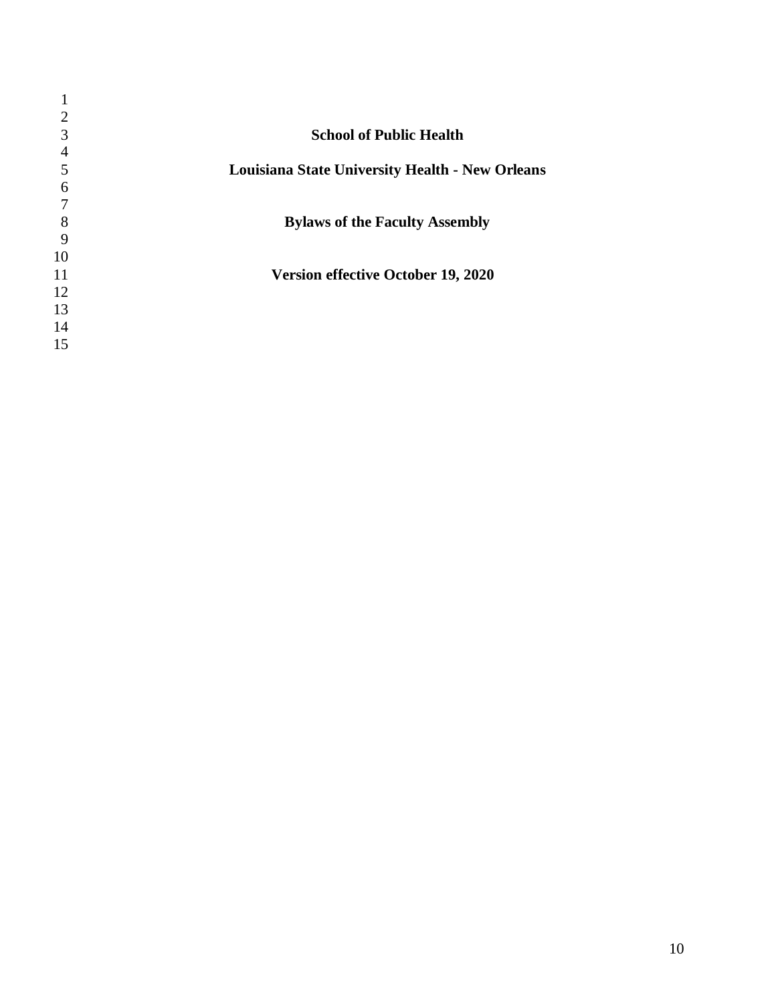| 2              |                                                        |
|----------------|--------------------------------------------------------|
| 3              | <b>School of Public Health</b>                         |
| $\overline{4}$ |                                                        |
| 5              | <b>Louisiana State University Health - New Orleans</b> |
| 6              |                                                        |
|                |                                                        |
| 8              | <b>Bylaws of the Faculty Assembly</b>                  |
| 9              |                                                        |
| 10             |                                                        |
| 11             | <b>Version effective October 19, 2020</b>              |
| 12             |                                                        |
| 13             |                                                        |
| 14             |                                                        |
| 15             |                                                        |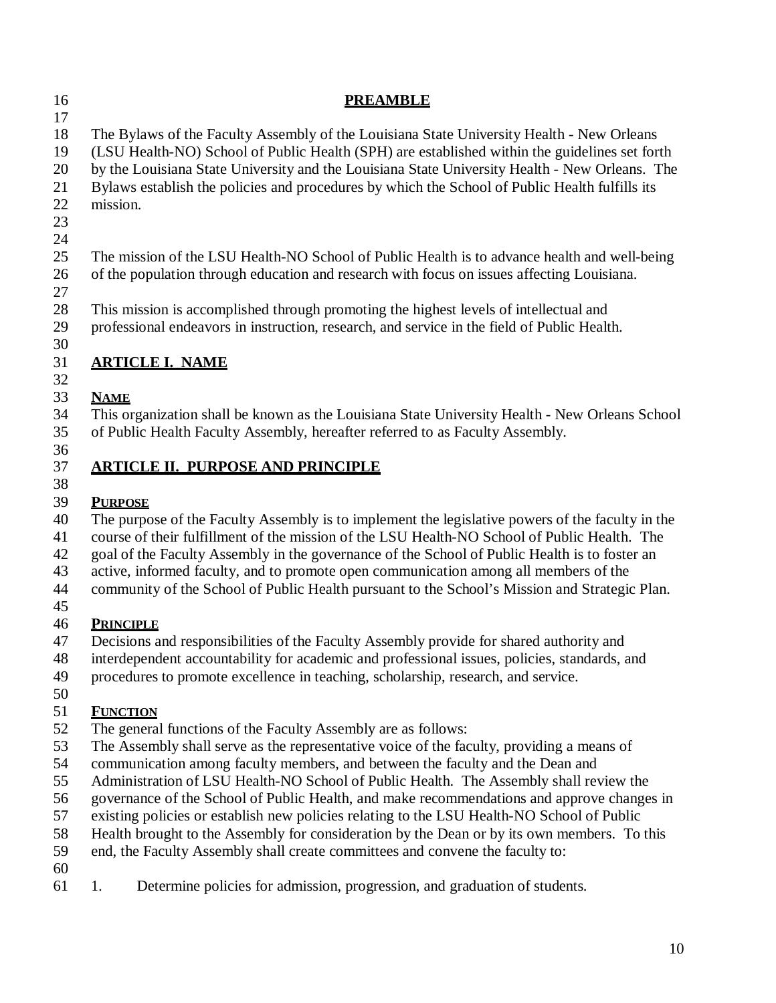| 16<br>17                                                 | <b>PREAMBLE</b>                                                                                                                                                                                                                                                                                                                                                                                                                                                                                                                                                                                                                                                                                                                      |
|----------------------------------------------------------|--------------------------------------------------------------------------------------------------------------------------------------------------------------------------------------------------------------------------------------------------------------------------------------------------------------------------------------------------------------------------------------------------------------------------------------------------------------------------------------------------------------------------------------------------------------------------------------------------------------------------------------------------------------------------------------------------------------------------------------|
| 18<br>19<br>20<br>21<br>22<br>23<br>24                   | The Bylaws of the Faculty Assembly of the Louisiana State University Health - New Orleans<br>(LSU Health-NO) School of Public Health (SPH) are established within the guidelines set forth<br>by the Louisiana State University and the Louisiana State University Health - New Orleans. The<br>Bylaws establish the policies and procedures by which the School of Public Health fulfills its<br>mission.                                                                                                                                                                                                                                                                                                                           |
| 25<br>26<br>27                                           | The mission of the LSU Health-NO School of Public Health is to advance health and well-being<br>of the population through education and research with focus on issues affecting Louisiana.                                                                                                                                                                                                                                                                                                                                                                                                                                                                                                                                           |
| 28<br>29<br>30                                           | This mission is accomplished through promoting the highest levels of intellectual and<br>professional endeavors in instruction, research, and service in the field of Public Health.                                                                                                                                                                                                                                                                                                                                                                                                                                                                                                                                                 |
| 31<br>32                                                 | <b>ARTICLE I. NAME</b>                                                                                                                                                                                                                                                                                                                                                                                                                                                                                                                                                                                                                                                                                                               |
| 33<br>34<br>35                                           | <b>NAME</b><br>This organization shall be known as the Louisiana State University Health - New Orleans School<br>of Public Health Faculty Assembly, hereafter referred to as Faculty Assembly.                                                                                                                                                                                                                                                                                                                                                                                                                                                                                                                                       |
| 36<br>37                                                 | <b>ARTICLE II. PURPOSE AND PRINCIPLE</b>                                                                                                                                                                                                                                                                                                                                                                                                                                                                                                                                                                                                                                                                                             |
| 38<br>39<br>40<br>41<br>42<br>43<br>44<br>45             | <b>PURPOSE</b><br>The purpose of the Faculty Assembly is to implement the legislative powers of the faculty in the<br>course of their fulfillment of the mission of the LSU Health-NO School of Public Health. The<br>goal of the Faculty Assembly in the governance of the School of Public Health is to foster an<br>active, informed faculty, and to promote open communication among all members of the<br>community of the School of Public Health pursuant to the School's Mission and Strategic Plan.                                                                                                                                                                                                                         |
| 46<br>47<br>48<br>49<br>50                               | <b>PRINCIPLE</b><br>Decisions and responsibilities of the Faculty Assembly provide for shared authority and<br>interdependent accountability for academic and professional issues, policies, standards, and<br>procedures to promote excellence in teaching, scholarship, research, and service.                                                                                                                                                                                                                                                                                                                                                                                                                                     |
| 51<br>52<br>53<br>54<br>55<br>56<br>57<br>58<br>59<br>60 | <b>FUNCTION</b><br>The general functions of the Faculty Assembly are as follows:<br>The Assembly shall serve as the representative voice of the faculty, providing a means of<br>communication among faculty members, and between the faculty and the Dean and<br>Administration of LSU Health-NO School of Public Health. The Assembly shall review the<br>governance of the School of Public Health, and make recommendations and approve changes in<br>existing policies or establish new policies relating to the LSU Health-NO School of Public<br>Health brought to the Assembly for consideration by the Dean or by its own members. To this<br>end, the Faculty Assembly shall create committees and convene the faculty to: |
| 61                                                       | Determine policies for admission, progression, and graduation of students.<br>1.                                                                                                                                                                                                                                                                                                                                                                                                                                                                                                                                                                                                                                                     |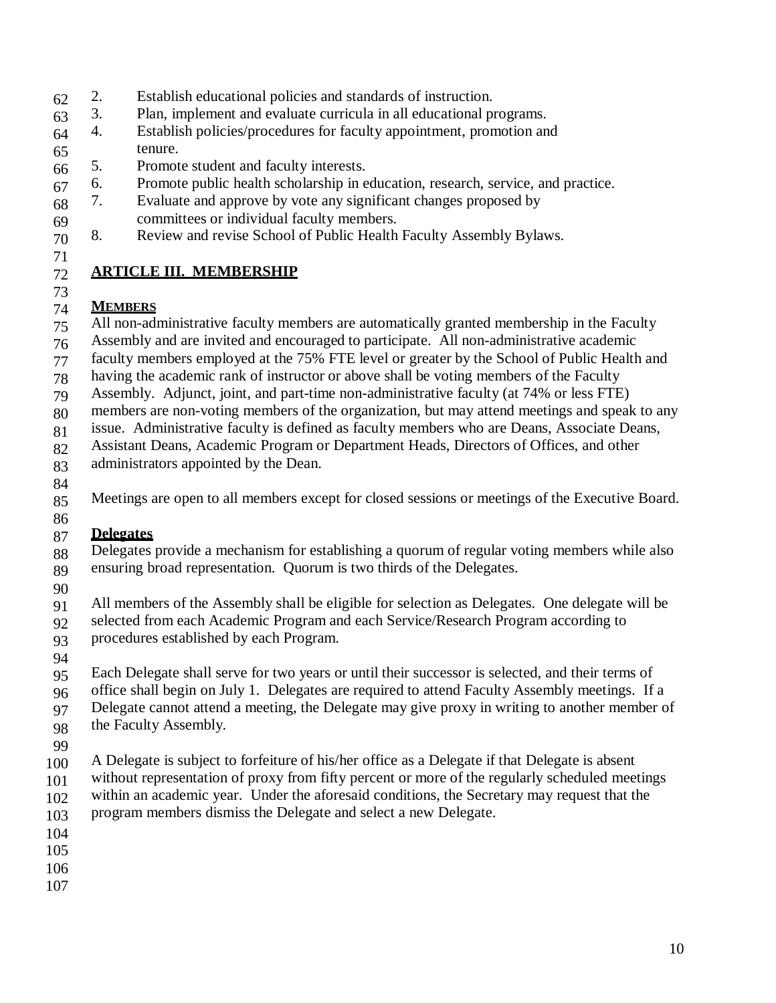- 62 2. Establish educational policies and standards of instruction.
- 63 3. Plan, implement and evaluate curricula in all educational programs.
- 64 65 4. Establish policies/procedures for faculty appointment, promotion and tenure.
- 66 5. Promote student and faculty interests.
- 67 6. Promote public health scholarship in education, research, service, and practice.
- 68 7. Evaluate and approve by vote any significant changes proposed by
- 69 committees or individual faculty members.
- 70 8. Review and revise School of Public Health Faculty Assembly Bylaws.
- 71

## 72 **ARTICLE III. MEMBERSHIP**

# 73 74 **MEMBERS**

- 75 All non-administrative faculty members are automatically granted membership in the Faculty
- 76 Assembly and are invited and encouraged to participate. All non-administrative academic
- 77 faculty members employed at the 75% FTE level or greater by the School of Public Health and
- 78 having the academic rank of instructor or above shall be voting members of the Faculty
- 79 Assembly. Adjunct, joint, and part-time non-administrative faculty (at 74% or less FTE)
- 80 members are non-voting members of the organization, but may attend meetings and speak to any
- 81 issue. Administrative faculty is defined as faculty members who are Deans, Associate Deans,
- 82 Assistant Deans, Academic Program or Department Heads, Directors of Offices, and other
- 83 administrators appointed by the Dean.
- 84
- 85 Meetings are open to all members except for closed sessions or meetings of the Executive Board.

## 86 87 **Delegates**

- 88 89 Delegates provide a mechanism for establishing a quorum of regular voting members while also ensuring broad representation. Quorum is two thirds of the Delegates.
- 90
- 91 All members of the Assembly shall be eligible for selection as Delegates. One delegate will be
- 92 93 selected from each Academic Program and each Service/Research Program according to procedures established by each Program.
- 94
- 95 96 97 Each Delegate shall serve for two years or until their successor is selected, and their terms of office shall begin on July 1. Delegates are required to attend Faculty Assembly meetings. If a Delegate cannot attend a meeting, the Delegate may give proxy in writing to another member of
- 98 the Faculty Assembly.
- 99
- 100 A Delegate is subject to forfeiture of his/her office as a Delegate if that Delegate is absent
- 101 102 without representation of proxy from fifty percent or more of the regularly scheduled meetings within an academic year. Under the aforesaid conditions, the Secretary may request that the
- 103 program members dismiss the Delegate and select a new Delegate.
- 104
- 105
- 106
- 107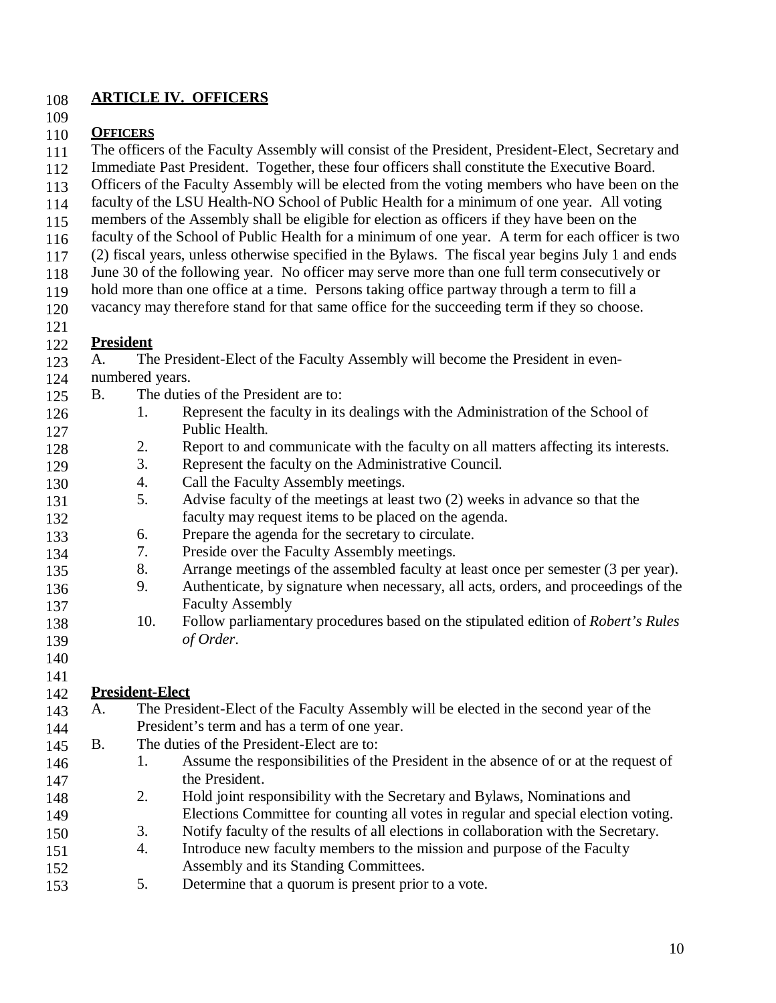#### 108 **ARTICLE IV. OFFICERS**

109

#### 110 **OFFICERS**

- 111 The officers of the Faculty Assembly will consist of the President, President-Elect, Secretary and
- 112 Immediate Past President. Together, these four officers shall constitute the Executive Board.
- 113 Officers of the Faculty Assembly will be elected from the voting members who have been on the
- 114 faculty of the LSU Health-NO School of Public Health for a minimum of one year. All voting
- 115 members of the Assembly shall be eligible for election as officers if they have been on the
- 116 faculty of the School of Public Health for a minimum of one year. A term for each officer is two
- 117 (2) fiscal years, unless otherwise specified in the Bylaws. The fiscal year begins July 1 and ends
- 118 June 30 of the following year. No officer may serve more than one full term consecutively or
- 119 hold more than one office at a time. Persons taking office partway through a term to fill a
- 120 vacancy may therefore stand for that same office for the succeeding term if they so choose.
- 121

#### 122 **President**

- 123 A. The President-Elect of the Faculty Assembly will become the President in even-
- 124 numbered years.
- 125 B. The duties of the President are to:
- 126 127 1. Represent the faculty in its dealings with the Administration of the School of Public Health.
- 128 2. Report to and communicate with the faculty on all matters affecting its interests.
- 129 3. Represent the faculty on the Administrative Council.
- 130 4. Call the Faculty Assembly meetings.
- 131 132 5. Advise faculty of the meetings at least two (2) weeks in advance so that the faculty may request items to be placed on the agenda.
- 133 6. Prepare the agenda for the secretary to circulate.
- 134 7. Preside over the Faculty Assembly meetings.
- 135 8. Arrange meetings of the assembled faculty at least once per semester (3 per year).
- 136 137 9. Authenticate, by signature when necessary, all acts, orders, and proceedings of the Faculty Assembly
- 138 139 10. Follow parliamentary procedures based on the stipulated edition of *Robert's Rules of Order*.
- 140

# 141 142 **President-Elect**

- 143 144 145 A. The President-Elect of the Faculty Assembly will be elected in the second year of the President's term and has a term of one year. B. The duties of the President-Elect are to:
- 146 147 1. Assume the responsibilities of the President in the absence of or at the request of the President.
- 148 149 2. Hold joint responsibility with the Secretary and Bylaws, Nominations and Elections Committee for counting all votes in regular and special election voting. 3. Notify faculty of the results of all elections in collaboration with the Secretary.
- 150 151 152 4. Introduce new faculty members to the mission and purpose of the Faculty Assembly and its Standing Committees.
- 153 5. Determine that a quorum is present prior to a vote.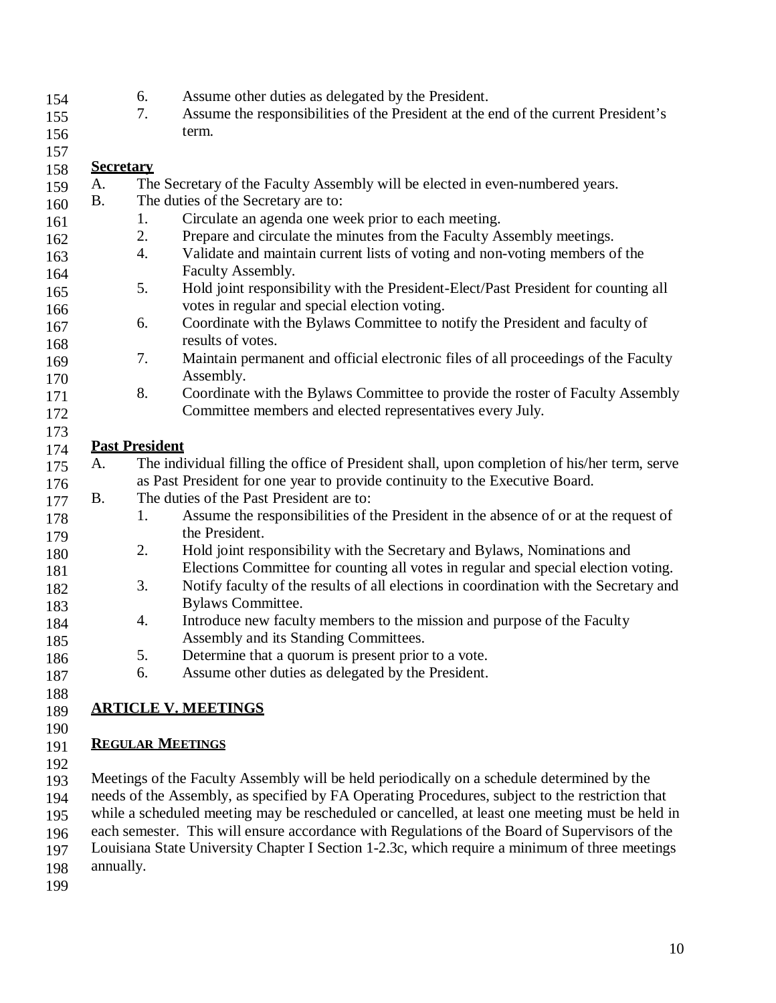| 154 | Assume other duties as delegated by the President.                                 |
|-----|------------------------------------------------------------------------------------|
| 155 | Assume the responsibilities of the President at the end of the current President's |
| 156 | term.                                                                              |

157

#### 158 **Secretary**

| 159 | A.        |                                     | The Secretary of the Faculty Assembly will be elected in even-numbered years.                |  |
|-----|-----------|-------------------------------------|----------------------------------------------------------------------------------------------|--|
| 160 | <b>B.</b> | The duties of the Secretary are to: |                                                                                              |  |
| 161 |           | 1.                                  | Circulate an agenda one week prior to each meeting.                                          |  |
| 162 |           | 2.                                  | Prepare and circulate the minutes from the Faculty Assembly meetings.                        |  |
| 163 |           | 4.                                  | Validate and maintain current lists of voting and non-voting members of the                  |  |
| 164 |           |                                     | Faculty Assembly.                                                                            |  |
| 165 |           | 5.                                  | Hold joint responsibility with the President-Elect/Past President for counting all           |  |
| 166 |           |                                     | votes in regular and special election voting.                                                |  |
| 167 |           | 6.                                  | Coordinate with the Bylaws Committee to notify the President and faculty of                  |  |
| 168 |           |                                     | results of votes.                                                                            |  |
| 169 |           | 7.                                  | Maintain permanent and official electronic files of all proceedings of the Faculty           |  |
| 170 |           |                                     | Assembly.                                                                                    |  |
| 171 |           | 8.                                  | Coordinate with the Bylaws Committee to provide the roster of Faculty Assembly               |  |
| 172 |           |                                     | Committee members and elected representatives every July.                                    |  |
| 173 |           |                                     |                                                                                              |  |
| 174 |           | <b>Past President</b>               |                                                                                              |  |
| 175 | A.        |                                     | The individual filling the office of President shall, upon completion of his/her term, serve |  |
| 176 |           |                                     | as Past President for one year to provide continuity to the Executive Board.                 |  |
| 177 | <b>B.</b> |                                     | The duties of the Past President are to:                                                     |  |
| 178 |           | 1.                                  | Assume the responsibilities of the President in the absence of or at the request of          |  |
| 179 |           |                                     | the President.                                                                               |  |
| 180 |           | 2.                                  | Hold joint responsibility with the Secretary and Bylaws, Nominations and                     |  |
| 181 |           |                                     | Elections Committee for counting all votes in regular and special election voting.           |  |
| 182 |           | 3.                                  | Notify faculty of the results of all elections in coordination with the Secretary and        |  |
| 183 |           |                                     | <b>Bylaws Committee.</b>                                                                     |  |
| 184 |           | 4.                                  | Introduce new faculty members to the mission and purpose of the Faculty                      |  |
| 185 |           |                                     | Assembly and its Standing Committees.                                                        |  |
| 186 |           | 5.                                  | Determine that a quorum is present prior to a vote.                                          |  |
| 187 |           | 6.                                  | Assume other duties as delegated by the President.                                           |  |
| 188 |           |                                     |                                                                                              |  |
| 189 |           |                                     | <b>ARTICLE V. MEETINGS</b>                                                                   |  |

## 190 191 **REGULAR MEETINGS**

192

193 194 195 196 Meetings of the Faculty Assembly will be held periodically on a schedule determined by the needs of the Assembly, as specified by FA Operating Procedures, subject to the restriction that while a scheduled meeting may be rescheduled or cancelled, at least one meeting must be held in each semester. This will ensure accordance with Regulations of the Board of Supervisors of the

197 Louisiana State University Chapter I Section 1-2.3c, which require a minimum of three meetings

- 198 annually.
- 199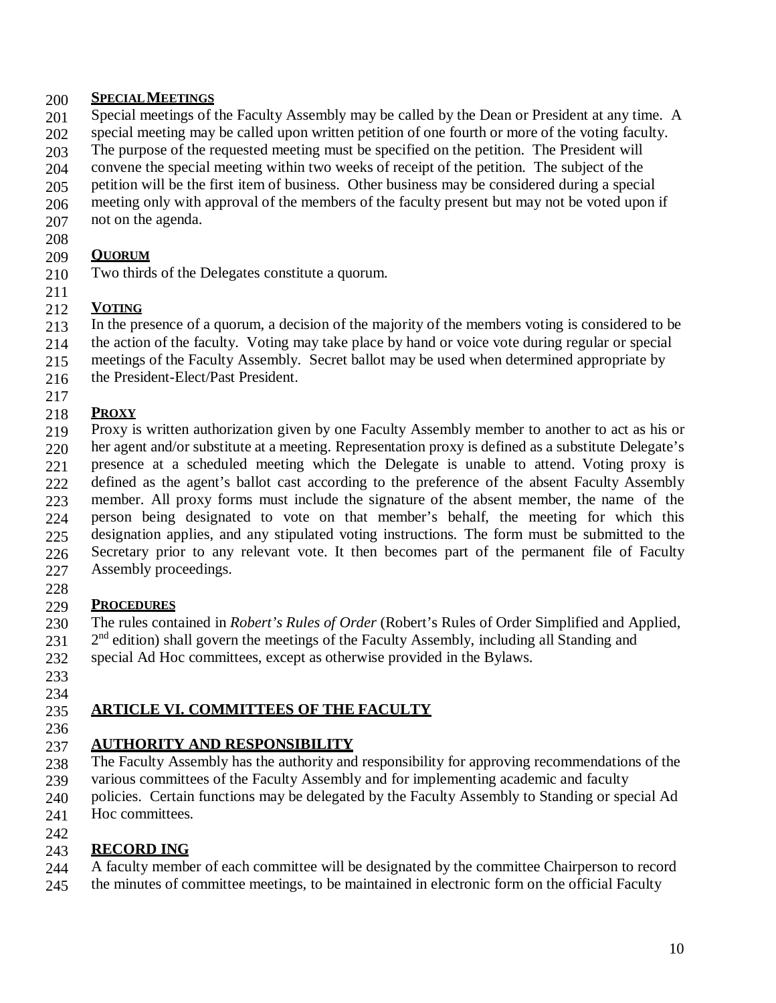#### 200 **SPECIALMEETINGS**

- 201 Special meetings of the Faculty Assembly may be called by the Dean or President at any time. A
- 202 special meeting may be called upon written petition of one fourth or more of the voting faculty.
- 203 The purpose of the requested meeting must be specified on the petition. The President will
- 204 convene the special meeting within two weeks of receipt of the petition. The subject of the
- 205 petition will be the first item of business. Other business may be considered during a special
- 206 meeting only with approval of the members of the faculty present but may not be voted upon if
- 207 not on the agenda.
- 208

#### 209 **QUORUM**

210 Two thirds of the Delegates constitute a quorum.

# 211 212 **VOTING**

- 213 In the presence of a quorum, a decision of the majority of the members voting is considered to be
- 214 the action of the faculty. Voting may take place by hand or voice vote during regular or special
- 215 meetings of the Faculty Assembly. Secret ballot may be used when determined appropriate by
- 216 the President-Elect/Past President.

# 217 218 **PROXY**

- 219 220 221 222 223 224 225 226 227 Proxy is written authorization given by one Faculty Assembly member to another to act as his or her agent and/or substitute at a meeting. Representation proxy is defined as a substitute Delegate's presence at a scheduled meeting which the Delegate is unable to attend. Voting proxy is defined as the agent's ballot cast according to the preference of the absent Faculty Assembly member. All proxy forms must include the signature of the absent member, the name of the person being designated to vote on that member's behalf, the meeting for which this designation applies, and any stipulated voting instructions. The form must be submitted to the Secretary prior to any relevant vote. It then becomes part of the permanent file of Faculty Assembly proceedings.
- 228

#### 229 **PROCEDURES**

- 230 The rules contained in *Robert's Rules of Order* (Robert's Rules of Order Simplified and Applied,
- 231  $2<sup>nd</sup>$  edition) shall govern the meetings of the Faculty Assembly, including all Standing and
- 232 special Ad Hoc committees, except as otherwise provided in the Bylaws.
- 233 234

# 235 **ARTICLE VI. COMMITTEES OF THE FACULTY**

236

# 237 **AUTHORITY AND RESPONSIBILITY**

- 238 The Faculty Assembly has the authority and responsibility for approving recommendations of the
- 239 various committees of the Faculty Assembly and for implementing academic and faculty
- 240 policies. Certain functions may be delegated by the Faculty Assembly to Standing or special Ad
- 241 Hoc committees.

# 242

#### 243 **RECORD ING**

- 244 A faculty member of each committee will be designated by the committee Chairperson to record
- 245 the minutes of committee meetings, to be maintained in electronic form on the official Faculty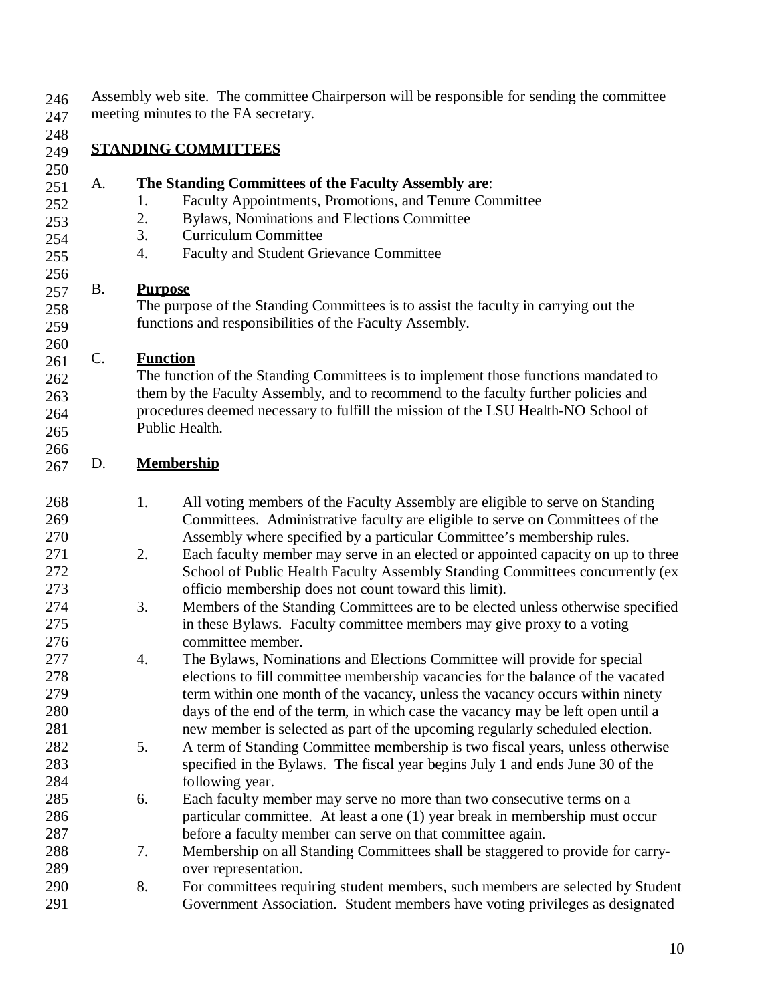Assembly web site. The committee Chairperson will be responsible for sending the committee meeting minutes to the FA secretary.

 **STANDING COMMITTEES**

 

#### A. **The Standing Committees of the Faculty Assembly are**:

- 1. Faculty Appointments, Promotions, and Tenure Committee
- 2. Bylaws, Nominations and Elections Committee
- 3. Curriculum Committee
- 4. Faculty and Student Grievance Committee

## B. **Purpose**

The purpose of the Standing Committees is to assist the faculty in carrying out the functions and responsibilities of the Faculty Assembly.

## C. **Function**

The function of the Standing Committees is to implement those functions mandated to them by the Faculty Assembly, and to recommend to the faculty further policies and procedures deemed necessary to fulfill the mission of the LSU Health-NO School of Public Health.

# D. **Membership**

- 1. All voting members of the Faculty Assembly are eligible to serve on Standing Committees. Administrative faculty are eligible to serve on Committees of the Assembly where specified by a particular Committee's membership rules.
- 271 2. Each faculty member may serve in an elected or appointed capacity on up to three School of Public Health Faculty Assembly Standing Committees concurrently (ex officio membership does not count toward this limit).
- 3. Members of the Standing Committees are to be elected unless otherwise specified 275 in these Bylaws. Faculty committee members may give proxy to a voting<br>276 committee member. committee member.
- 4. The Bylaws, Nominations and Elections Committee will provide for special elections to fill committee membership vacancies for the balance of the vacated term within one month of the vacancy, unless the vacancy occurs within ninety days of the end of the term, in which case the vacancy may be left open until a new member is selected as part of the upcoming regularly scheduled election.
- 5. A term of Standing Committee membership is two fiscal years, unless otherwise specified in the Bylaws. The fiscal year begins July 1 and ends June 30 of the following year.
- 6. Each faculty member may serve no more than two consecutive terms on a particular committee. At least a one (1) year break in membership must occur before a faculty member can serve on that committee again.
- 7. Membership on all Standing Committees shall be staggered to provide for carry-over representation.
- 8. For committees requiring student members, such members are selected by Student Government Association. Student members have voting privileges as designated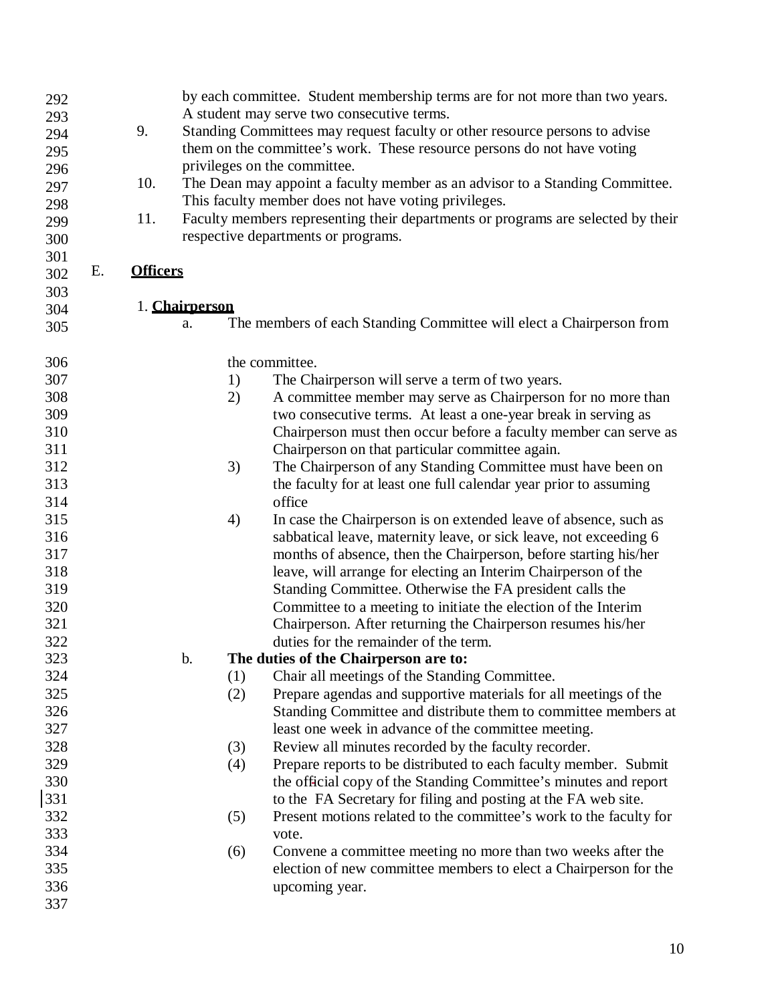| 292 |    |                 |                | by each committee. Student membership terms are for not more than two years.     |
|-----|----|-----------------|----------------|----------------------------------------------------------------------------------|
| 293 |    |                 |                | A student may serve two consecutive terms.                                       |
| 294 |    | 9.              |                | Standing Committees may request faculty or other resource persons to advise      |
| 295 |    |                 |                | them on the committee's work. These resource persons do not have voting          |
| 296 |    |                 |                | privileges on the committee.                                                     |
| 297 |    | 10.             |                | The Dean may appoint a faculty member as an advisor to a Standing Committee.     |
| 298 |    |                 |                | This faculty member does not have voting privileges.                             |
| 299 |    | 11.             |                | Faculty members representing their departments or programs are selected by their |
| 300 |    |                 |                | respective departments or programs.                                              |
| 301 |    |                 |                |                                                                                  |
| 302 | Е. | <b>Officers</b> |                |                                                                                  |
| 303 |    |                 |                |                                                                                  |
| 304 |    |                 | 1. Chairperson |                                                                                  |
| 305 |    |                 | a.             | The members of each Standing Committee will elect a Chairperson from             |
|     |    |                 |                |                                                                                  |
| 306 |    |                 |                | the committee.                                                                   |
| 307 |    |                 | 1)             | The Chairperson will serve a term of two years.                                  |
| 308 |    |                 | 2)             | A committee member may serve as Chairperson for no more than                     |
| 309 |    |                 |                | two consecutive terms. At least a one-year break in serving as                   |
| 310 |    |                 |                | Chairperson must then occur before a faculty member can serve as                 |
| 311 |    |                 |                | Chairperson on that particular committee again.                                  |
| 312 |    |                 | 3)             | The Chairperson of any Standing Committee must have been on                      |
| 313 |    |                 |                | the faculty for at least one full calendar year prior to assuming                |
| 314 |    |                 |                | office                                                                           |
| 315 |    |                 | 4)             | In case the Chairperson is on extended leave of absence, such as                 |
| 316 |    |                 |                | sabbatical leave, maternity leave, or sick leave, not exceeding 6                |
| 317 |    |                 |                | months of absence, then the Chairperson, before starting his/her                 |
| 318 |    |                 |                | leave, will arrange for electing an Interim Chairperson of the                   |
| 319 |    |                 |                | Standing Committee. Otherwise the FA president calls the                         |
| 320 |    |                 |                | Committee to a meeting to initiate the election of the Interim                   |
| 321 |    |                 |                | Chairperson. After returning the Chairperson resumes his/her                     |
| 322 |    |                 |                | duties for the remainder of the term.                                            |
| 323 |    |                 | b.             | The duties of the Chairperson are to:                                            |
| 324 |    |                 | (1)            | Chair all meetings of the Standing Committee.                                    |
| 325 |    |                 | (2)            | Prepare agendas and supportive materials for all meetings of the                 |
| 326 |    |                 |                | Standing Committee and distribute them to committee members at                   |
| 327 |    |                 |                | least one week in advance of the committee meeting.                              |
| 328 |    |                 | (3)            | Review all minutes recorded by the faculty recorder.                             |
| 329 |    |                 | (4)            | Prepare reports to be distributed to each faculty member. Submit                 |
| 330 |    |                 |                | the official copy of the Standing Committee's minutes and report                 |
| 331 |    |                 |                | to the FA Secretary for filing and posting at the FA web site.                   |
| 332 |    |                 | (5)            | Present motions related to the committee's work to the faculty for               |
| 333 |    |                 |                | vote.                                                                            |
| 334 |    |                 | (6)            | Convene a committee meeting no more than two weeks after the                     |
| 335 |    |                 |                | election of new committee members to elect a Chairperson for the                 |
| 336 |    |                 |                | upcoming year.                                                                   |
| 337 |    |                 |                |                                                                                  |
|     |    |                 |                |                                                                                  |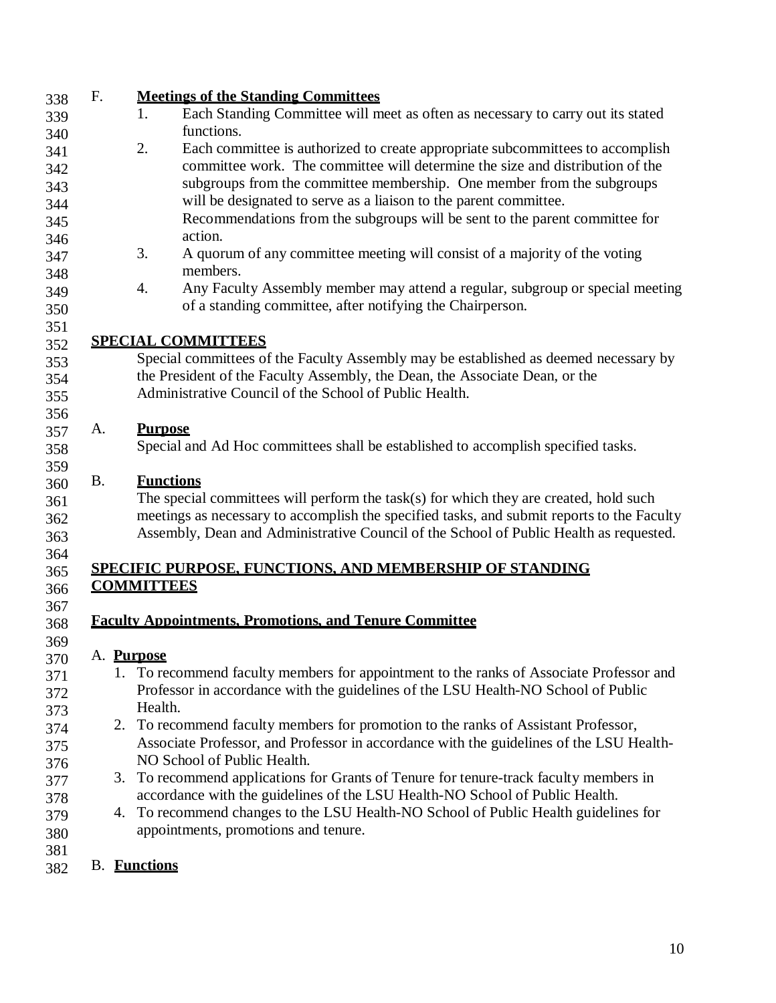| 338 | F.        | <b>Meetings of the Standing Committees</b>                                                 |
|-----|-----------|--------------------------------------------------------------------------------------------|
| 339 |           | Each Standing Committee will meet as often as necessary to carry out its stated<br>1.      |
| 340 |           | functions.                                                                                 |
| 341 |           | 2.<br>Each committee is authorized to create appropriate subcommittees to accomplish       |
| 342 |           | committee work. The committee will determine the size and distribution of the              |
| 343 |           | subgroups from the committee membership. One member from the subgroups                     |
| 344 |           | will be designated to serve as a liaison to the parent committee.                          |
| 345 |           | Recommendations from the subgroups will be sent to the parent committee for                |
| 346 |           | action.                                                                                    |
| 347 |           | 3.<br>A quorum of any committee meeting will consist of a majority of the voting           |
| 348 |           | members.                                                                                   |
| 349 |           | Any Faculty Assembly member may attend a regular, subgroup or special meeting<br>4.        |
| 350 |           | of a standing committee, after notifying the Chairperson.                                  |
| 351 |           |                                                                                            |
| 352 |           | <b>SPECIAL COMMITTEES</b>                                                                  |
| 353 |           | Special committees of the Faculty Assembly may be established as deemed necessary by       |
| 354 |           | the President of the Faculty Assembly, the Dean, the Associate Dean, or the                |
| 355 |           | Administrative Council of the School of Public Health.                                     |
| 356 |           |                                                                                            |
| 357 | A.        | <b>Purpose</b>                                                                             |
| 358 |           | Special and Ad Hoc committees shall be established to accomplish specified tasks.          |
| 359 |           |                                                                                            |
| 360 | <b>B.</b> | <b>Functions</b>                                                                           |
| 361 |           | The special committees will perform the task(s) for which they are created, hold such      |
| 362 |           | meetings as necessary to accomplish the specified tasks, and submit reports to the Faculty |
| 363 |           | Assembly, Dean and Administrative Council of the School of Public Health as requested.     |
| 364 |           |                                                                                            |
| 365 |           | <b>SPECIFIC PURPOSE, FUNCTIONS, AND MEMBERSHIP OF STANDING</b>                             |
| 366 |           | <b>COMMITTEES</b>                                                                          |
| 367 |           |                                                                                            |
| 368 |           | <b>Faculty Appointments, Promotions, and Tenure Committee</b>                              |
| 369 |           |                                                                                            |
| 370 |           | A. Purpose                                                                                 |
| 371 |           | 1. To recommend faculty members for appointment to the ranks of Associate Professor and    |
| 372 |           | Professor in accordance with the guidelines of the LSU Health-NO School of Public          |
| 373 |           | Health.                                                                                    |
| 374 |           | 2. To recommend faculty members for promotion to the ranks of Assistant Professor,         |
| 375 |           | Associate Professor, and Professor in accordance with the guidelines of the LSU Health-    |
| 376 |           | NO School of Public Health.                                                                |
| 377 |           | 3. To recommend applications for Grants of Tenure for tenure-track faculty members in      |
| 378 |           | accordance with the guidelines of the LSU Health-NO School of Public Health.               |
| 379 |           | 4. To recommend changes to the LSU Health-NO School of Public Health guidelines for        |
| 380 |           | appointments, promotions and tenure.                                                       |
| 381 |           |                                                                                            |
| 382 |           | <b>B.</b> Functions                                                                        |
|     |           |                                                                                            |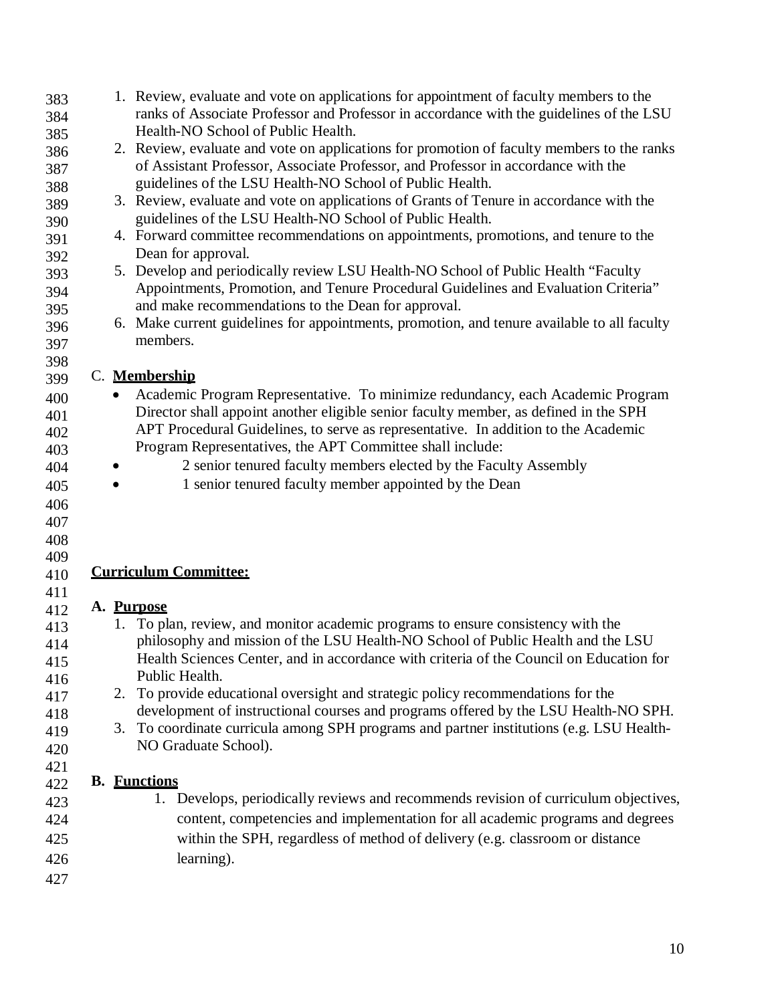| 383 |            | 1. Review, evaluate and vote on applications for appointment of faculty members to the      |
|-----|------------|---------------------------------------------------------------------------------------------|
| 384 |            | ranks of Associate Professor and Professor in accordance with the guidelines of the LSU     |
| 385 |            | Health-NO School of Public Health.                                                          |
| 386 |            | 2. Review, evaluate and vote on applications for promotion of faculty members to the ranks  |
| 387 |            | of Assistant Professor, Associate Professor, and Professor in accordance with the           |
| 388 |            | guidelines of the LSU Health-NO School of Public Health.                                    |
| 389 |            | 3. Review, evaluate and vote on applications of Grants of Tenure in accordance with the     |
| 390 |            | guidelines of the LSU Health-NO School of Public Health.                                    |
| 391 |            | 4. Forward committee recommendations on appointments, promotions, and tenure to the         |
| 392 |            | Dean for approval.                                                                          |
| 393 |            | 5. Develop and periodically review LSU Health-NO School of Public Health "Faculty           |
| 394 |            | Appointments, Promotion, and Tenure Procedural Guidelines and Evaluation Criteria"          |
| 395 |            | and make recommendations to the Dean for approval.                                          |
| 396 |            | 6. Make current guidelines for appointments, promotion, and tenure available to all faculty |
| 397 |            | members.                                                                                    |
| 398 |            |                                                                                             |
| 399 |            | C. Membership                                                                               |
| 400 |            | Academic Program Representative. To minimize redundancy, each Academic Program              |
| 401 |            | Director shall appoint another eligible senior faculty member, as defined in the SPH        |
| 402 |            | APT Procedural Guidelines, to serve as representative. In addition to the Academic          |
| 403 |            | Program Representatives, the APT Committee shall include:                                   |
| 404 |            | 2 senior tenured faculty members elected by the Faculty Assembly                            |
| 405 |            | 1 senior tenured faculty member appointed by the Dean                                       |
| 406 |            |                                                                                             |
| 407 |            |                                                                                             |
| 408 |            |                                                                                             |
| 409 |            |                                                                                             |
| 410 |            | <b>Curriculum Committee:</b>                                                                |
| 411 |            |                                                                                             |
| 412 | A. Purpose |                                                                                             |
| 413 |            | 1. To plan, review, and monitor academic programs to ensure consistency with the            |
| 414 |            | philosophy and mission of the LSU Health-NO School of Public Health and the LSU             |
| 415 |            | Health Sciences Center, and in accordance with criteria of the Council on Education for     |
| 416 |            | Public Health.                                                                              |
| 417 |            | 2. To provide educational oversight and strategic policy recommendations for the            |
| 418 |            | development of instructional courses and programs offered by the LSU Health-NO SPH.         |
| 419 |            | 3. To coordinate curricula among SPH programs and partner institutions (e.g. LSU Health-    |
| 420 |            | NO Graduate School).                                                                        |
| 421 |            |                                                                                             |
| 422 |            | <b>B.</b> Functions                                                                         |
| 423 |            | 1. Develops, periodically reviews and recommends revision of curriculum objectives,         |
| 424 |            | content, competencies and implementation for all academic programs and degrees              |
|     |            |                                                                                             |
| 425 |            | within the SPH, regardless of method of delivery (e.g. classroom or distance                |
| 426 |            | learning).                                                                                  |
| 427 |            |                                                                                             |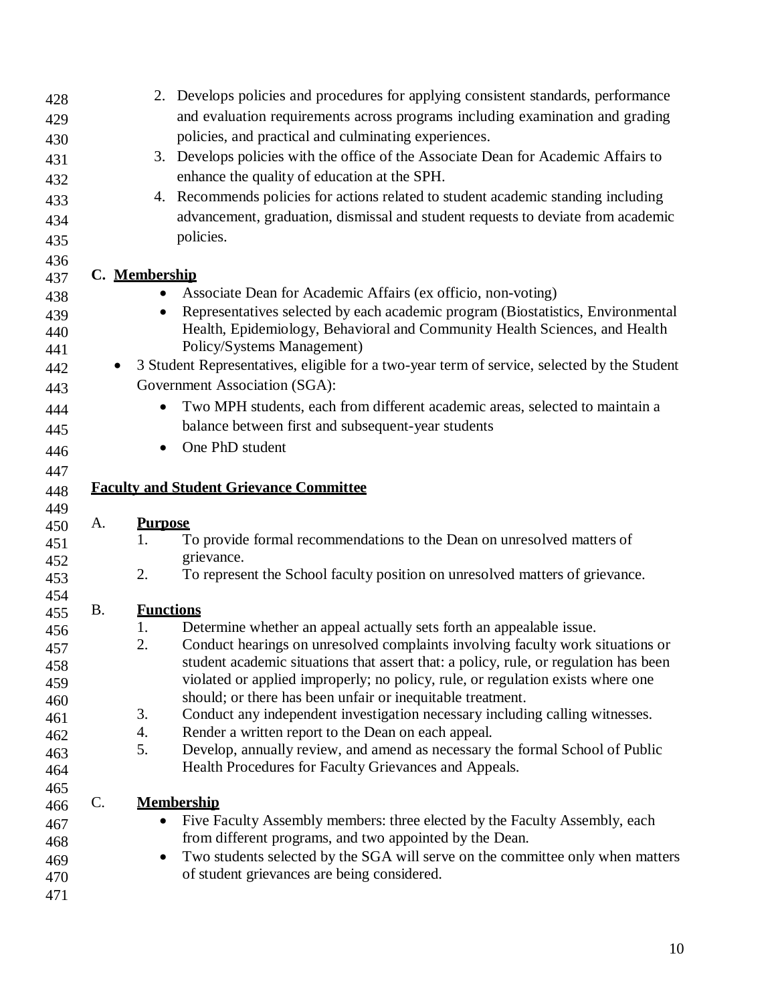| 428        |           | 2. Develops policies and procedures for applying consistent standards, performance                                           |
|------------|-----------|------------------------------------------------------------------------------------------------------------------------------|
| 429        |           | and evaluation requirements across programs including examination and grading                                                |
| 430        |           | policies, and practical and culminating experiences.                                                                         |
| 431        |           | 3. Develops policies with the office of the Associate Dean for Academic Affairs to                                           |
| 432        |           | enhance the quality of education at the SPH.                                                                                 |
| 433        |           | 4. Recommends policies for actions related to student academic standing including                                            |
| 434        |           | advancement, graduation, dismissal and student requests to deviate from academic                                             |
| 435        |           | policies.                                                                                                                    |
| 436        |           |                                                                                                                              |
| 437        |           | C. Membership                                                                                                                |
| 438        |           | Associate Dean for Academic Affairs (ex officio, non-voting)                                                                 |
| 439        |           | Representatives selected by each academic program (Biostatistics, Environmental                                              |
| 440        |           | Health, Epidemiology, Behavioral and Community Health Sciences, and Health                                                   |
| 441        |           | Policy/Systems Management)                                                                                                   |
| 442<br>443 | $\bullet$ | 3 Student Representatives, eligible for a two-year term of service, selected by the Student<br>Government Association (SGA): |
|            |           | Two MPH students, each from different academic areas, selected to maintain a<br>$\bullet$                                    |
| 444        |           | balance between first and subsequent-year students                                                                           |
| 445        |           |                                                                                                                              |
| 446        |           | One PhD student<br>$\bullet$                                                                                                 |
| 447        |           |                                                                                                                              |
| 448        |           | <b>Faculty and Student Grievance Committee</b>                                                                               |
| 449        |           |                                                                                                                              |
| 450        | A.        | <b>Purpose</b><br>To provide formal recommendations to the Dean on unresolved matters of<br>1.                               |
| 451        |           | grievance.                                                                                                                   |
| 452        |           | To represent the School faculty position on unresolved matters of grievance.<br>2.                                           |
| 453<br>454 |           |                                                                                                                              |
| 455        | <b>B.</b> | <b>Functions</b>                                                                                                             |
| 456        |           | Determine whether an appeal actually sets forth an appealable issue.<br>1.                                                   |
| 457        |           | 2.<br>Conduct hearings on unresolved complaints involving faculty work situations or                                         |
| 458        |           | student academic situations that assert that: a policy, rule, or regulation has been                                         |
| 459        |           | violated or applied improperly; no policy, rule, or regulation exists where one                                              |
| 460        |           | should; or there has been unfair or inequitable treatment.                                                                   |
| 461        |           | 3.<br>Conduct any independent investigation necessary including calling witnesses.                                           |
| 462        |           | Render a written report to the Dean on each appeal.<br>4.                                                                    |
| 463        |           | 5.<br>Develop, annually review, and amend as necessary the formal School of Public                                           |
| 464        |           | Health Procedures for Faculty Grievances and Appeals.                                                                        |
| 465        |           |                                                                                                                              |
| 466        | C.        | <b>Membership</b>                                                                                                            |
| 467        |           | Five Faculty Assembly members: three elected by the Faculty Assembly, each<br>$\bullet$                                      |
| 468        |           | from different programs, and two appointed by the Dean.                                                                      |
| 469        |           | Two students selected by the SGA will serve on the committee only when matters<br>$\bullet$                                  |
| 470        |           | of student grievances are being considered.                                                                                  |
| 471        |           |                                                                                                                              |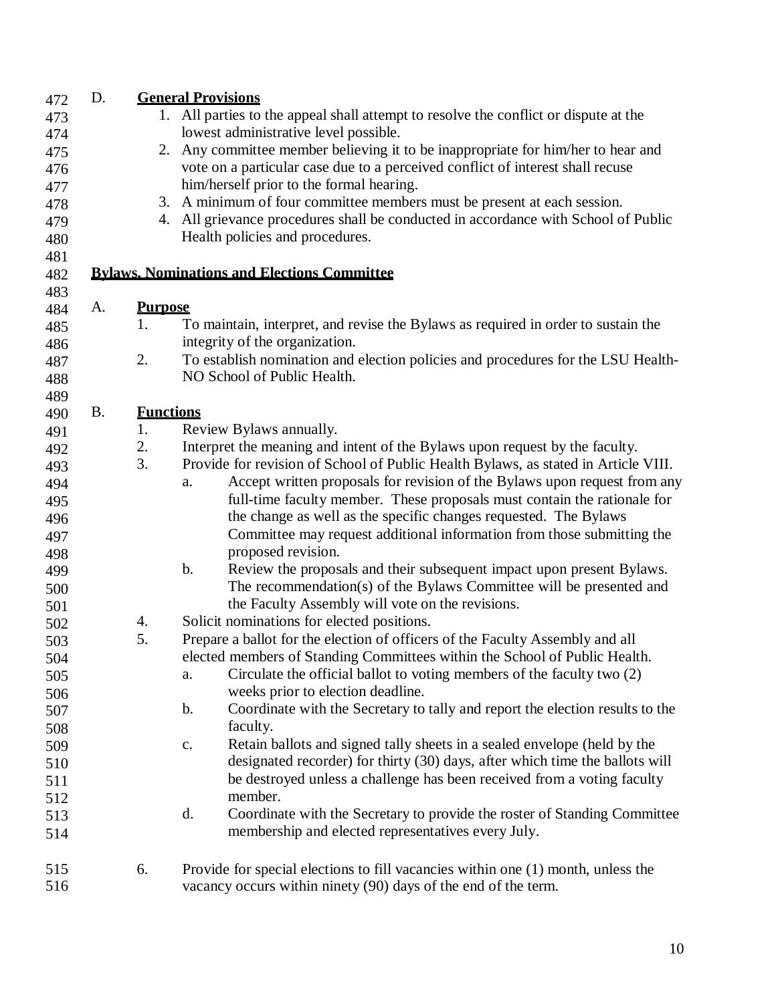| D. | <b>General Provisions</b>             |                                                                                                |  |  |
|----|---------------------------------------|------------------------------------------------------------------------------------------------|--|--|
|    |                                       | 1. All parties to the appeal shall attempt to resolve the conflict or dispute at the           |  |  |
|    | lowest administrative level possible. |                                                                                                |  |  |
|    |                                       | 2. Any committee member believing it to be inappropriate for him/her to hear and               |  |  |
|    |                                       | vote on a particular case due to a perceived conflict of interest shall recuse                 |  |  |
|    |                                       | him/herself prior to the formal hearing.                                                       |  |  |
|    |                                       | 3. A minimum of four committee members must be present at each session.                        |  |  |
|    |                                       | 4. All grievance procedures shall be conducted in accordance with School of Public             |  |  |
|    |                                       | Health policies and procedures.                                                                |  |  |
|    |                                       |                                                                                                |  |  |
|    |                                       | <b>Bylaws, Nominations and Elections Committee</b>                                             |  |  |
|    |                                       |                                                                                                |  |  |
|    |                                       | To maintain, interpret, and revise the Bylaws as required in order to sustain the              |  |  |
|    |                                       | integrity of the organization.                                                                 |  |  |
|    |                                       | To establish nomination and election policies and procedures for the LSU Health-               |  |  |
|    |                                       | NO School of Public Health.                                                                    |  |  |
|    |                                       |                                                                                                |  |  |
|    |                                       |                                                                                                |  |  |
|    |                                       | Review Bylaws annually.                                                                        |  |  |
|    |                                       | Interpret the meaning and intent of the Bylaws upon request by the faculty.                    |  |  |
|    | 3.                                    | Provide for revision of School of Public Health Bylaws, as stated in Article VIII.             |  |  |
|    |                                       | Accept written proposals for revision of the Bylaws upon request from any<br>a.                |  |  |
|    |                                       | full-time faculty member. These proposals must contain the rationale for                       |  |  |
|    |                                       | the change as well as the specific changes requested. The Bylaws                               |  |  |
|    |                                       | Committee may request additional information from those submitting the                         |  |  |
|    |                                       | proposed revision.                                                                             |  |  |
|    |                                       | $\mathbf b$ .<br>Review the proposals and their subsequent impact upon present Bylaws.         |  |  |
|    |                                       | The recommendation(s) of the Bylaws Committee will be presented and                            |  |  |
|    |                                       | the Faculty Assembly will vote on the revisions.                                               |  |  |
|    |                                       | Solicit nominations for elected positions.                                                     |  |  |
|    |                                       | Prepare a ballot for the election of officers of the Faculty Assembly and all                  |  |  |
|    |                                       | elected members of Standing Committees within the School of Public Health.                     |  |  |
|    |                                       | Circulate the official ballot to voting members of the faculty two (2)<br>a.                   |  |  |
|    |                                       | weeks prior to election deadline.                                                              |  |  |
|    |                                       | Coordinate with the Secretary to tally and report the election results to the<br>$\mathbf b$ . |  |  |
|    |                                       | faculty.                                                                                       |  |  |
|    |                                       | Retain ballots and signed tally sheets in a sealed envelope (held by the<br>$\mathbf{c}$ .     |  |  |
|    |                                       | designated recorder) for thirty (30) days, after which time the ballots will                   |  |  |
|    |                                       | be destroyed unless a challenge has been received from a voting faculty                        |  |  |
|    |                                       | member.                                                                                        |  |  |
|    |                                       | Coordinate with the Secretary to provide the roster of Standing Committee<br>d.                |  |  |
|    |                                       | membership and elected representatives every July.                                             |  |  |
|    |                                       |                                                                                                |  |  |
|    | 6.                                    | Provide for special elections to fill vacancies within one (1) month, unless the               |  |  |
|    |                                       | vacancy occurs within ninety (90) days of the end of the term.                                 |  |  |
|    | A.<br><b>B.</b>                       | <b>Purpose</b><br>1.<br>2.<br><b>Functions</b><br>1.<br>2.<br>4.<br>5.                         |  |  |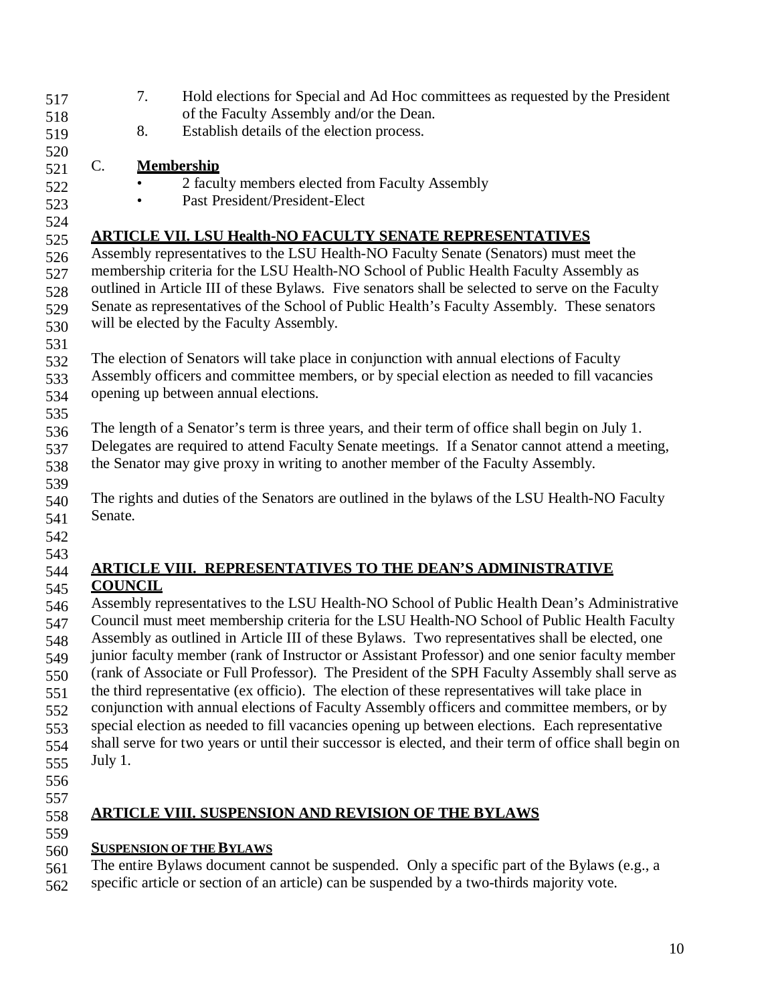| 517 |                                                                                                | 7.             | Hold elections for Special and Ad Hoc committees as requested by the President                         |  |
|-----|------------------------------------------------------------------------------------------------|----------------|--------------------------------------------------------------------------------------------------------|--|
| 518 |                                                                                                |                | of the Faculty Assembly and/or the Dean.                                                               |  |
| 519 |                                                                                                | 8.             | Establish details of the election process.                                                             |  |
| 520 |                                                                                                |                |                                                                                                        |  |
| 521 | C.                                                                                             |                | <b>Membership</b>                                                                                      |  |
| 522 |                                                                                                |                | 2 faculty members elected from Faculty Assembly                                                        |  |
| 523 |                                                                                                |                | Past President/President-Elect                                                                         |  |
| 524 |                                                                                                |                |                                                                                                        |  |
| 525 |                                                                                                |                | <u>ARTICLE VII. LSU Health-NO FACULTY SENATE REPRESENTATIVES</u>                                       |  |
| 526 |                                                                                                |                | Assembly representatives to the LSU Health-NO Faculty Senate (Senators) must meet the                  |  |
| 527 |                                                                                                |                | membership criteria for the LSU Health-NO School of Public Health Faculty Assembly as                  |  |
| 528 |                                                                                                |                | outlined in Article III of these Bylaws. Five senators shall be selected to serve on the Faculty       |  |
| 529 |                                                                                                |                | Senate as representatives of the School of Public Health's Faculty Assembly. These senators            |  |
| 530 |                                                                                                |                | will be elected by the Faculty Assembly.                                                               |  |
| 531 |                                                                                                |                |                                                                                                        |  |
| 532 |                                                                                                |                | The election of Senators will take place in conjunction with annual elections of Faculty               |  |
| 533 |                                                                                                |                | Assembly officers and committee members, or by special election as needed to fill vacancies            |  |
| 534 |                                                                                                |                | opening up between annual elections.                                                                   |  |
| 535 |                                                                                                |                |                                                                                                        |  |
| 536 |                                                                                                |                | The length of a Senator's term is three years, and their term of office shall begin on July 1.         |  |
| 537 |                                                                                                |                | Delegates are required to attend Faculty Senate meetings. If a Senator cannot attend a meeting,        |  |
| 538 |                                                                                                |                | the Senator may give proxy in writing to another member of the Faculty Assembly.                       |  |
| 539 |                                                                                                |                |                                                                                                        |  |
| 540 |                                                                                                |                | The rights and duties of the Senators are outlined in the bylaws of the LSU Health-NO Faculty          |  |
| 541 | Senate.                                                                                        |                |                                                                                                        |  |
| 542 |                                                                                                |                |                                                                                                        |  |
| 543 |                                                                                                |                |                                                                                                        |  |
| 544 |                                                                                                |                | ARTICLE VIII. REPRESENTATIVES TO THE DEAN'S ADMINISTRATIVE                                             |  |
| 545 |                                                                                                | <b>COUNCIL</b> |                                                                                                        |  |
| 546 |                                                                                                |                | Assembly representatives to the LSU Health-NO School of Public Health Dean's Administrative            |  |
| 547 |                                                                                                |                | Council must meet membership criteria for the LSU Health-NO School of Public Health Faculty            |  |
| 548 |                                                                                                |                | Assembly as outlined in Article III of these Bylaws. Two representatives shall be elected, one         |  |
| 549 |                                                                                                |                | junior faculty member (rank of Instructor or Assistant Professor) and one senior faculty member        |  |
| 550 |                                                                                                |                | (rank of Associate or Full Professor). The President of the SPH Faculty Assembly shall serve as        |  |
| 551 |                                                                                                |                | the third representative (ex officio). The election of these representatives will take place in        |  |
| 552 | conjunction with annual elections of Faculty Assembly officers and committee members, or by    |                |                                                                                                        |  |
| 553 | special election as needed to fill vacancies opening up between elections. Each representative |                |                                                                                                        |  |
| 554 |                                                                                                |                | shall serve for two years or until their successor is elected, and their term of office shall begin on |  |
| 555 | July 1.                                                                                        |                |                                                                                                        |  |
| 556 |                                                                                                |                |                                                                                                        |  |
| 557 |                                                                                                |                |                                                                                                        |  |
| 558 |                                                                                                |                | <b>ARTICLE VIII. SUSPENSION AND REVISION OF THE BYLAWS</b>                                             |  |
| 559 |                                                                                                |                |                                                                                                        |  |
| 560 |                                                                                                |                | <b>SUSPENSION OF THE BYLAWS</b>                                                                        |  |
|     |                                                                                                |                |                                                                                                        |  |

- 561 The entire Bylaws document cannot be suspended. Only a specific part of the Bylaws (e.g., a
- 562 specific article or section of an article) can be suspended by a two-thirds majority vote.